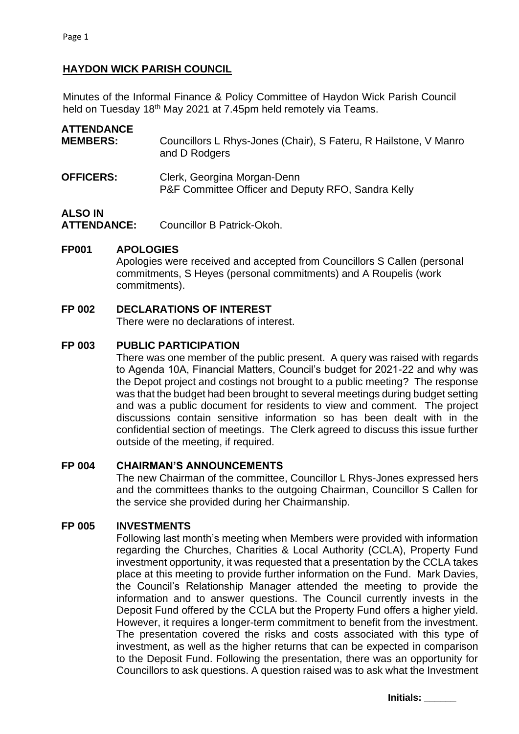# **HAYDON WICK PARISH COUNCIL**

Minutes of the Informal Finance & Policy Committee of Haydon Wick Parish Council held on Tuesday 18<sup>th</sup> May 2021 at 7.45pm held remotely via Teams.

| <b>ATTENDANCE</b><br><b>MEMBERS:</b> | Councillors L Rhys-Jones (Chair), S Fateru, R Hailstone, V Manro<br>and D Rodgers |
|--------------------------------------|-----------------------------------------------------------------------------------|
| <b>OFFICERS:</b>                     | Clerk, Georgina Morgan-Denn<br>P&F Committee Officer and Deputy RFO, Sandra Kelly |
| <b>ALSO IN</b>                       |                                                                                   |

**ATTENDANCE:** Councillor B Patrick-Okoh.

### **FP001 APOLOGIES**

Apologies were received and accepted from Councillors S Callen (personal commitments, S Heyes (personal commitments) and A Roupelis (work commitments).

# **FP 002 DECLARATIONS OF INTEREST**

There were no declarations of interest.

### **FP 003 PUBLIC PARTICIPATION**

There was one member of the public present. A query was raised with regards to Agenda 10A, Financial Matters, Council's budget for 2021-22 and why was the Depot project and costings not brought to a public meeting? The response was that the budget had been brought to several meetings during budget setting and was a public document for residents to view and comment. The project discussions contain sensitive information so has been dealt with in the confidential section of meetings. The Clerk agreed to discuss this issue further outside of the meeting, if required.

#### **FP 004 CHAIRMAN'S ANNOUNCEMENTS**

The new Chairman of the committee, Councillor L Rhys-Jones expressed hers and the committees thanks to the outgoing Chairman, Councillor S Callen for the service she provided during her Chairmanship.

# **FP 005 INVESTMENTS**

Following last month's meeting when Members were provided with information regarding the Churches, Charities & Local Authority (CCLA), Property Fund investment opportunity, it was requested that a presentation by the CCLA takes place at this meeting to provide further information on the Fund. Mark Davies, the Council's Relationship Manager attended the meeting to provide the information and to answer questions. The Council currently invests in the Deposit Fund offered by the CCLA but the Property Fund offers a higher yield. However, it requires a longer-term commitment to benefit from the investment. The presentation covered the risks and costs associated with this type of investment, as well as the higher returns that can be expected in comparison to the Deposit Fund. Following the presentation, there was an opportunity for Councillors to ask questions. A question raised was to ask what the Investment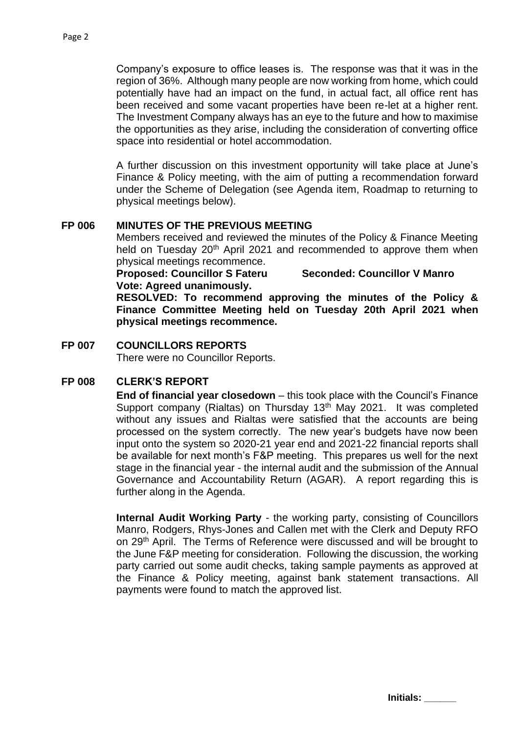Company's exposure to office leases is. The response was that it was in the region of 36%. Although many people are now working from home, which could potentially have had an impact on the fund, in actual fact, all office rent has been received and some vacant properties have been re-let at a higher rent. The Investment Company always has an eye to the future and how to maximise the opportunities as they arise, including the consideration of converting office space into residential or hotel accommodation.

A further discussion on this investment opportunity will take place at June's Finance & Policy meeting, with the aim of putting a recommendation forward under the Scheme of Delegation (see Agenda item, Roadmap to returning to physical meetings below).

### **FP 006 MINUTES OF THE PREVIOUS MEETING**

Members received and reviewed the minutes of the Policy & Finance Meeting held on Tuesday 20<sup>th</sup> April 2021 and recommended to approve them when physical meetings recommence.

**Proposed: Councillor S Fateru Seconded: Councillor V Manro Vote: Agreed unanimously.**

**RESOLVED: To recommend approving the minutes of the Policy & Finance Committee Meeting held on Tuesday 20th April 2021 when physical meetings recommence.**

### **FP 007 COUNCILLORS REPORTS**

There were no Councillor Reports.

# **FP 008 CLERK'S REPORT**

**End of financial year closedown** – this took place with the Council's Finance Support company (Rialtas) on Thursday 13<sup>th</sup> May 2021. It was completed without any issues and Rialtas were satisfied that the accounts are being processed on the system correctly. The new year's budgets have now been input onto the system so 2020-21 year end and 2021-22 financial reports shall be available for next month's F&P meeting. This prepares us well for the next stage in the financial year - the internal audit and the submission of the Annual Governance and Accountability Return (AGAR). A report regarding this is further along in the Agenda.

**Internal Audit Working Party** - the working party, consisting of Councillors Manro, Rodgers, Rhys-Jones and Callen met with the Clerk and Deputy RFO on 29th April. The Terms of Reference were discussed and will be brought to the June F&P meeting for consideration. Following the discussion, the working party carried out some audit checks, taking sample payments as approved at the Finance & Policy meeting, against bank statement transactions. All payments were found to match the approved list.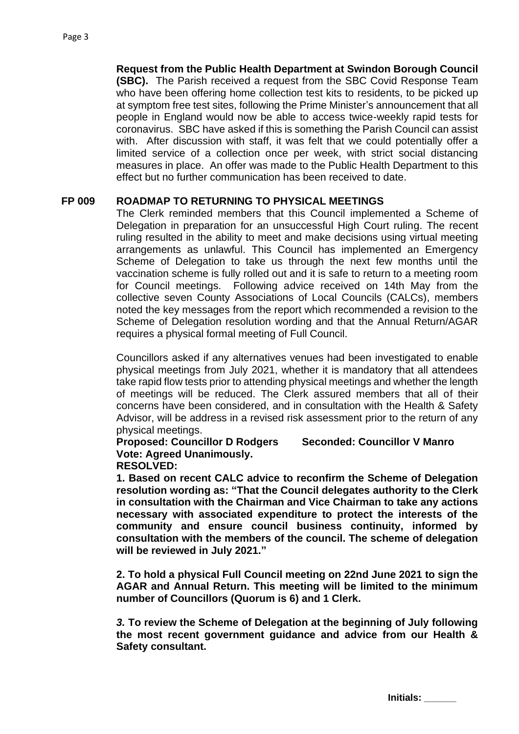**Request from the Public Health Department at Swindon Borough Council (SBC).** The Parish received a request from the SBC Covid Response Team who have been offering home collection test kits to residents, to be picked up at symptom free test sites, following the Prime Minister's announcement that all people in England would now be able to access twice-weekly rapid tests for coronavirus. SBC have asked if this is something the Parish Council can assist with. After discussion with staff, it was felt that we could potentially offer a limited service of a collection once per week, with strict social distancing measures in place. An offer was made to the Public Health Department to this effect but no further communication has been received to date.

#### **FP 009 ROADMAP TO RETURNING TO PHYSICAL MEETINGS**

The Clerk reminded members that this Council implemented a Scheme of Delegation in preparation for an unsuccessful High Court ruling. The recent ruling resulted in the ability to meet and make decisions using virtual meeting arrangements as unlawful. This Council has implemented an Emergency Scheme of Delegation to take us through the next few months until the vaccination scheme is fully rolled out and it is safe to return to a meeting room for Council meetings. Following advice received on 14th May from the collective seven County Associations of Local Councils (CALCs), members noted the key messages from the report which recommended a revision to the Scheme of Delegation resolution wording and that the Annual Return/AGAR requires a physical formal meeting of Full Council.

Councillors asked if any alternatives venues had been investigated to enable physical meetings from July 2021, whether it is mandatory that all attendees take rapid flow tests prior to attending physical meetings and whether the length of meetings will be reduced. The Clerk assured members that all of their concerns have been considered, and in consultation with the Health & Safety Advisor, will be address in a revised risk assessment prior to the return of any physical meetings.

# **Proposed: Councillor D Rodgers Seconded: Councillor V Manro Vote: Agreed Unanimously.**

#### **RESOLVED:**

**1. Based on recent CALC advice to reconfirm the Scheme of Delegation resolution wording as: "That the Council delegates authority to the Clerk in consultation with the Chairman and Vice Chairman to take any actions necessary with associated expenditure to protect the interests of the community and ensure council business continuity, informed by consultation with the members of the council. The scheme of delegation will be reviewed in July 2021."**

**2. To hold a physical Full Council meeting on 22nd June 2021 to sign the AGAR and Annual Return. This meeting will be limited to the minimum number of Councillors (Quorum is 6) and 1 Clerk.** 

*3.* **To review the Scheme of Delegation at the beginning of July following the most recent government guidance and advice from our Health & Safety consultant.**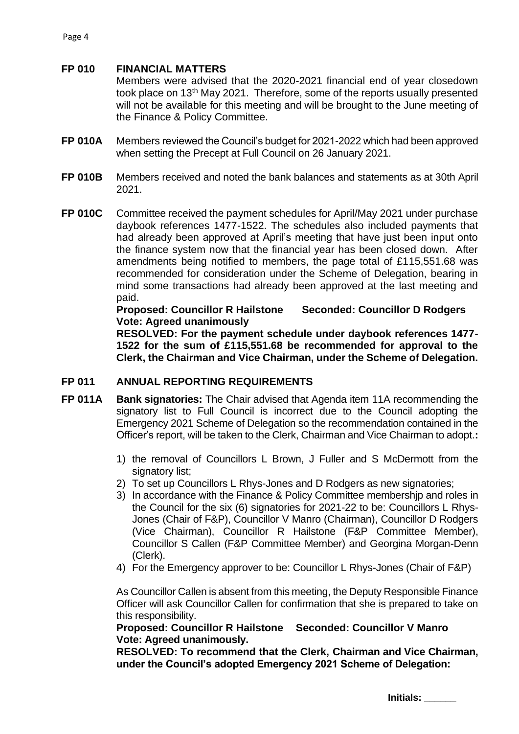#### **FP 010 FINANCIAL MATTERS**

Members were advised that the 2020-2021 financial end of year closedown took place on 13th May 2021. Therefore, some of the reports usually presented will not be available for this meeting and will be brought to the June meeting of the Finance & Policy Committee.

- **FP 010A** Members reviewed the Council's budget for 2021-2022 which had been approved when setting the Precept at Full Council on 26 January 2021.
- **FP 010B** Members received and noted the bank balances and statements as at 30th April 2021.
- **FP 010C** Committee received the payment schedules for April/May 2021 under purchase daybook references 1477-1522. The schedules also included payments that had already been approved at April's meeting that have just been input onto the finance system now that the financial year has been closed down. After amendments being notified to members, the page total of £115,551.68 was recommended for consideration under the Scheme of Delegation, bearing in mind some transactions had already been approved at the last meeting and paid.

**Proposed: Councillor R Hailstone Seconded: Councillor D Rodgers Vote: Agreed unanimously**

**RESOLVED: For the payment schedule under daybook references 1477- 1522 for the sum of £115,551.68 be recommended for approval to the Clerk, the Chairman and Vice Chairman, under the Scheme of Delegation.**

#### **FP 011 ANNUAL REPORTING REQUIREMENTS**

- **FP 011A Bank signatories:** The Chair advised that Agenda item 11A recommending the signatory list to Full Council is incorrect due to the Council adopting the Emergency 2021 Scheme of Delegation so the recommendation contained in the Officer's report, will be taken to the Clerk, Chairman and Vice Chairman to adopt.**:**
	- 1) the removal of Councillors L Brown, J Fuller and S McDermott from the signatory list;
	- 2) To set up Councillors L Rhys-Jones and D Rodgers as new signatories;
	- 3) In accordance with the Finance & Policy Committee membershjp and roles in the Council for the six (6) signatories for 2021-22 to be: Councillors L Rhys-Jones (Chair of F&P), Councillor V Manro (Chairman), Councillor D Rodgers (Vice Chairman), Councillor R Hailstone (F&P Committee Member), Councillor S Callen (F&P Committee Member) and Georgina Morgan-Denn (Clerk).
	- 4) For the Emergency approver to be: Councillor L Rhys-Jones (Chair of F&P)

As Councillor Callen is absent from this meeting, the Deputy Responsible Finance Officer will ask Councillor Callen for confirmation that she is prepared to take on this responsibility.

**Proposed: Councillor R Hailstone Seconded: Councillor V Manro Vote: Agreed unanimously.**

**RESOLVED: To recommend that the Clerk, Chairman and Vice Chairman, under the Council's adopted Emergency 2021 Scheme of Delegation:**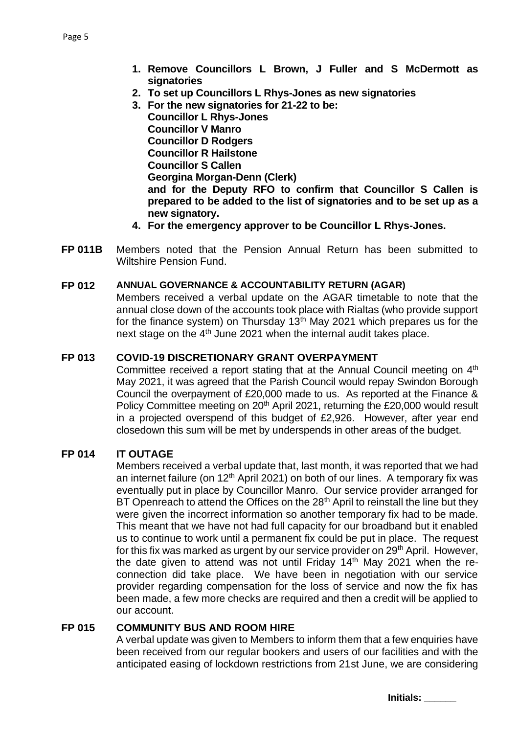- **1. Remove Councillors L Brown, J Fuller and S McDermott as signatories**
- **2. To set up Councillors L Rhys-Jones as new signatories**
- **3. For the new signatories for 21-22 to be: Councillor L Rhys-Jones Councillor V Manro Councillor D Rodgers Councillor R Hailstone Councillor S Callen Georgina Morgan-Denn (Clerk) and for the Deputy RFO to confirm that Councillor S Callen is prepared to be added to the list of signatories and to be set up as a new signatory.**
- **4. For the emergency approver to be Councillor L Rhys-Jones.**
- **FP 011B** Members noted that the Pension Annual Return has been submitted to Wiltshire Pension Fund.

#### **FP 012 ANNUAL GOVERNANCE & ACCOUNTABILITY RETURN (AGAR)**

Members received a verbal update on the AGAR timetable to note that the annual close down of the accounts took place with Rialtas (who provide support for the finance system) on Thursday 13<sup>th</sup> May 2021 which prepares us for the next stage on the 4<sup>th</sup> June 2021 when the internal audit takes place.

# **FP 013 COVID-19 DISCRETIONARY GRANT OVERPAYMENT**

Committee received a report stating that at the Annual Council meeting on 4<sup>th</sup> May 2021, it was agreed that the Parish Council would repay Swindon Borough Council the overpayment of £20,000 made to us. As reported at the Finance & Policy Committee meeting on 20<sup>th</sup> April 2021, returning the £20,000 would result in a projected overspend of this budget of £2,926. However, after year end closedown this sum will be met by underspends in other areas of the budget.

# **FP 014 IT OUTAGE**

Members received a verbal update that, last month, it was reported that we had an internet failure (on  $12<sup>th</sup>$  April 2021) on both of our lines. A temporary fix was eventually put in place by Councillor Manro. Our service provider arranged for BT Openreach to attend the Offices on the 28<sup>th</sup> April to reinstall the line but they were given the incorrect information so another temporary fix had to be made. This meant that we have not had full capacity for our broadband but it enabled us to continue to work until a permanent fix could be put in place. The request for this fix was marked as urgent by our service provider on 29<sup>th</sup> April. However, the date given to attend was not until Friday 14<sup>th</sup> May 2021 when the reconnection did take place. We have been in negotiation with our service provider regarding compensation for the loss of service and now the fix has been made, a few more checks are required and then a credit will be applied to our account.

#### **FP 015 COMMUNITY BUS AND ROOM HIRE**

A verbal update was given to Members to inform them that a few enquiries have been received from our regular bookers and users of our facilities and with the anticipated easing of lockdown restrictions from 21st June, we are considering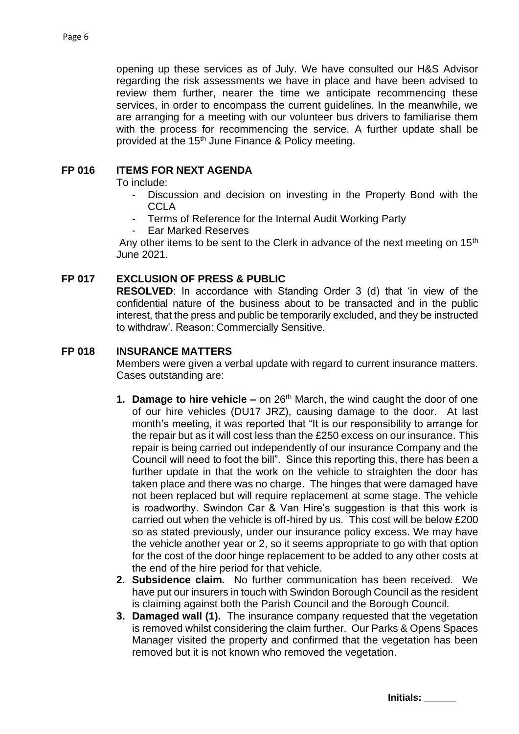opening up these services as of July. We have consulted our H&S Advisor regarding the risk assessments we have in place and have been advised to review them further, nearer the time we anticipate recommencing these services, in order to encompass the current guidelines. In the meanwhile, we are arranging for a meeting with our volunteer bus drivers to familiarise them with the process for recommencing the service. A further update shall be provided at the 15<sup>th</sup> June Finance & Policy meeting.

# **FP 016 ITEMS FOR NEXT AGENDA**

To include:

- Discussion and decision on investing in the Property Bond with the **CCLA**
- Terms of Reference for the Internal Audit Working Party
- Ear Marked Reserves

Any other items to be sent to the Clerk in advance of the next meeting on 15<sup>th</sup> June 2021.

# **FP 017 EXCLUSION OF PRESS & PUBLIC**

**RESOLVED**: In accordance with Standing Order 3 (d) that 'in view of the confidential nature of the business about to be transacted and in the public interest, that the press and public be temporarily excluded, and they be instructed to withdraw'. Reason: Commercially Sensitive.

### **FP 018 INSURANCE MATTERS**

Members were given a verbal update with regard to current insurance matters. Cases outstanding are:

- **1. Damage to hire vehicle –** on 26<sup>th</sup> March, the wind caught the door of one of our hire vehicles (DU17 JRZ), causing damage to the door. At last month's meeting, it was reported that "It is our responsibility to arrange for the repair but as it will cost less than the £250 excess on our insurance. This repair is being carried out independently of our insurance Company and the Council will need to foot the bill". Since this reporting this, there has been a further update in that the work on the vehicle to straighten the door has taken place and there was no charge. The hinges that were damaged have not been replaced but will require replacement at some stage. The vehicle is roadworthy. Swindon Car & Van Hire's suggestion is that this work is carried out when the vehicle is off-hired by us. This cost will be below £200 so as stated previously, under our insurance policy excess. We may have the vehicle another year or 2, so it seems appropriate to go with that option for the cost of the door hinge replacement to be added to any other costs at the end of the hire period for that vehicle.
- **2. Subsidence claim.** No further communication has been received. We have put our insurers in touch with Swindon Borough Council as the resident is claiming against both the Parish Council and the Borough Council.
- **3. Damaged wall (1).** The insurance company requested that the vegetation is removed whilst considering the claim further. Our Parks & Opens Spaces Manager visited the property and confirmed that the vegetation has been removed but it is not known who removed the vegetation.